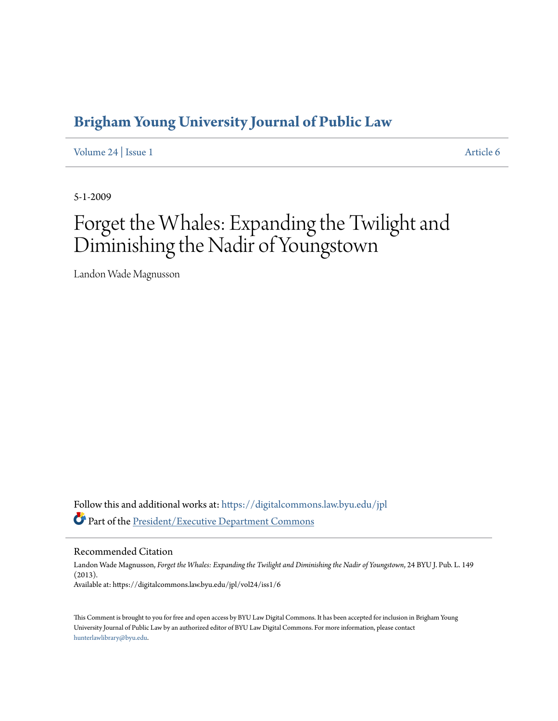# **[Brigham Young University Journal of Public Law](https://digitalcommons.law.byu.edu/jpl?utm_source=digitalcommons.law.byu.edu%2Fjpl%2Fvol24%2Fiss1%2F6&utm_medium=PDF&utm_campaign=PDFCoverPages)**

[Volume 24](https://digitalcommons.law.byu.edu/jpl/vol24?utm_source=digitalcommons.law.byu.edu%2Fjpl%2Fvol24%2Fiss1%2F6&utm_medium=PDF&utm_campaign=PDFCoverPages) | [Issue 1](https://digitalcommons.law.byu.edu/jpl/vol24/iss1?utm_source=digitalcommons.law.byu.edu%2Fjpl%2Fvol24%2Fiss1%2F6&utm_medium=PDF&utm_campaign=PDFCoverPages) [Article 6](https://digitalcommons.law.byu.edu/jpl/vol24/iss1/6?utm_source=digitalcommons.law.byu.edu%2Fjpl%2Fvol24%2Fiss1%2F6&utm_medium=PDF&utm_campaign=PDFCoverPages)

5-1-2009

# Forget the Whales: Expanding the Twilight and Diminishing the Nadir of Youngstown

Landon Wade Magnusson

Follow this and additional works at: [https://digitalcommons.law.byu.edu/jpl](https://digitalcommons.law.byu.edu/jpl?utm_source=digitalcommons.law.byu.edu%2Fjpl%2Fvol24%2Fiss1%2F6&utm_medium=PDF&utm_campaign=PDFCoverPages) Part of the [President/Executive Department Commons](http://network.bepress.com/hgg/discipline/1118?utm_source=digitalcommons.law.byu.edu%2Fjpl%2Fvol24%2Fiss1%2F6&utm_medium=PDF&utm_campaign=PDFCoverPages)

Recommended Citation

Landon Wade Magnusson, *Forget the Whales: Expanding the Twilight and Diminishing the Nadir of Youngstown*, 24 BYU J. Pub. L. 149 (2013). Available at: https://digitalcommons.law.byu.edu/jpl/vol24/iss1/6

This Comment is brought to you for free and open access by BYU Law Digital Commons. It has been accepted for inclusion in Brigham Young University Journal of Public Law by an authorized editor of BYU Law Digital Commons. For more information, please contact [hunterlawlibrary@byu.edu.](mailto:hunterlawlibrary@byu.edu)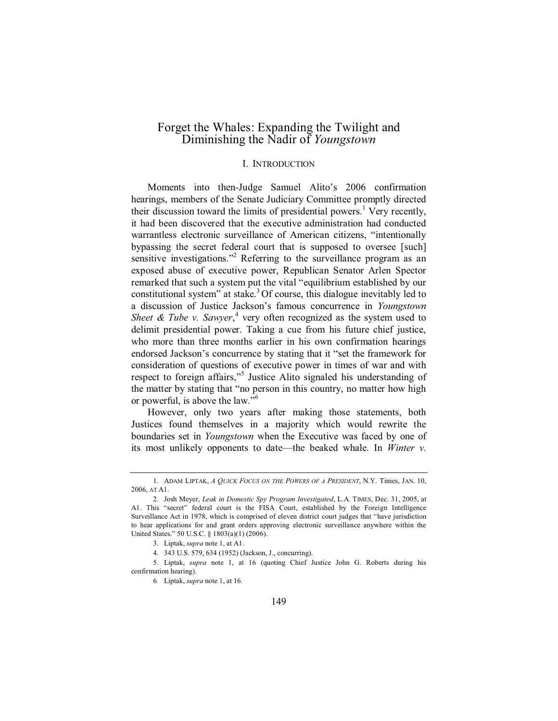# Forget the Whales: Expanding the Twilight and Diminishing the Nadir of *Youngstown*

#### I. INTRODUCTION

Moments into then-Judge Samuel Alito's 2006 confirmation hearings, members of the Senate Judiciary Committee promptly directed their discussion toward the limits of presidential powers.<sup>1</sup> Very recently, it had been discovered that the executive administration had conducted warrantless electronic surveillance of American citizens, "intentionally bypassing the secret federal court that is supposed to oversee [such] sensitive investigations."<sup>2</sup> Referring to the surveillance program as an exposed abuse of executive power, Republican Senator Arlen Spector remarked that such a system put the vital "equilibrium established by our constitutional system" at stake.<sup>3</sup> Of course, this dialogue inevitably led to a discussion of Justice Jackson's famous concurrence in *Youngstown*  Sheet & Tube v. Sawyer,<sup>4</sup> very often recognized as the system used to delimit presidential power. Taking a cue from his future chief justice, who more than three months earlier in his own confirmation hearings endorsed Jackson's concurrence by stating that it "set the framework for consideration of questions of executive power in times of war and with respect to foreign affairs,"<sup>5</sup> Justice Alito signaled his understanding of the matter by stating that "no person in this country, no matter how high or powerful, is above the law."<sup>6</sup>

However, only two years after making those statements, both Justices found themselves in a majority which would rewrite the boundaries set in *Youngstown* when the Executive was faced by one of its most unlikely opponents to date—the beaked whale. In *Winter v.* 

<sup>1.</sup> ADAM LIPTAK, *A QUICK FOCUS ON THE POWERS OF A PRESIDENT*, N.Y. Times, JAN. 10, 2006, AT A1.

<sup>2.</sup> Josh Meyer, *Leak in Domestic Spy Program Investigated*, L.A. TIMES, Dec. 31, 2005, at A1. This "secret" federal court is the FISA Court, established by the Foreign Intelligence Surveillance Act in 1978, which is comprised of eleven district court judges that "have jurisdiction to hear applications for and grant orders approving electronic surveillance anywhere within the United States." 50 U.S.C. § 1803(a)(1) (2006).

<sup>3.</sup> Liptak, *supra* note 1, at A1.

<sup>4. 343</sup> U.S. 579, 634 (1952) (Jackson, J., concurring).

<sup>5.</sup> Liptak, *supra* note 1, at 16 (quoting Chief Justice John G. Roberts during his confirmation hearing).

<sup>6</sup>*.* Liptak, *supra* note 1, at 16.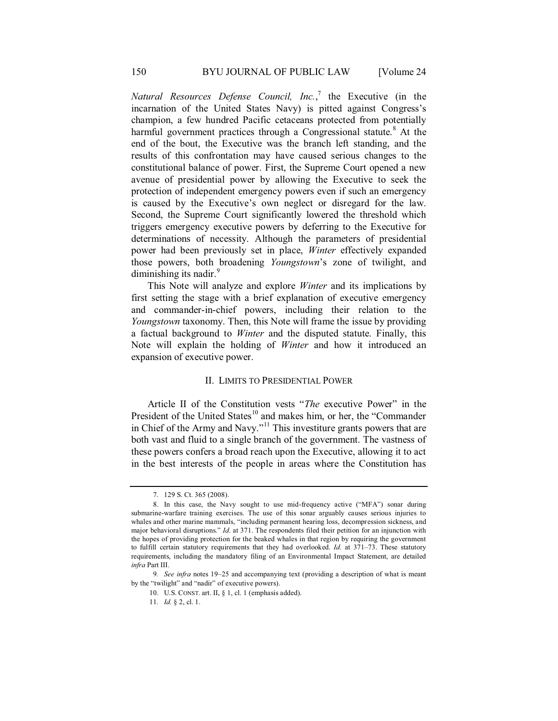*Natural Resources Defense Council, Inc.*, 7 the Executive (in the incarnation of the United States Navy) is pitted against Congress's champion, a few hundred Pacific cetaceans protected from potentially harmful government practices through a Congressional statute.<sup>8</sup> At the end of the bout, the Executive was the branch left standing, and the results of this confrontation may have caused serious changes to the constitutional balance of power. First, the Supreme Court opened a new avenue of presidential power by allowing the Executive to seek the protection of independent emergency powers even if such an emergency is caused by the Executive's own neglect or disregard for the law. Second, the Supreme Court significantly lowered the threshold which triggers emergency executive powers by deferring to the Executive for determinations of necessity. Although the parameters of presidential power had been previously set in place, *Winter* effectively expanded those powers, both broadening *Youngstown*'s zone of twilight, and diminishing its nadir. $9$ 

This Note will analyze and explore *Winter* and its implications by first setting the stage with a brief explanation of executive emergency and commander-in-chief powers, including their relation to the *Youngstown* taxonomy. Then, this Note will frame the issue by providing a factual background to *Winter* and the disputed statute. Finally, this Note will explain the holding of *Winter* and how it introduced an expansion of executive power.

#### II. LIMITS TO PRESIDENTIAL POWER

Article II of the Constitution vests "*The* executive Power" in the President of the United States<sup>10</sup> and makes him, or her, the "Commander in Chief of the Army and Navy."11 This investiture grants powers that are both vast and fluid to a single branch of the government. The vastness of these powers confers a broad reach upon the Executive, allowing it to act in the best interests of the people in areas where the Constitution has

<sup>7. 129</sup> S. Ct. 365 (2008).

<sup>8.</sup> In this case, the Navy sought to use mid-frequency active ("MFA") sonar during submarine-warfare training exercises. The use of this sonar arguably causes serious injuries to whales and other marine mammals, "including permanent hearing loss, decompression sickness, and major behavioral disruptions." *Id*. at 371. The respondents filed their petition for an injunction with the hopes of providing protection for the beaked whales in that region by requiring the government to fulfill certain statutory requirements that they had overlooked. *Id.* at 371–73. These statutory requirements, including the mandatory filing of an Environmental Impact Statement, are detailed *infra* Part III.

<sup>9</sup>*. See infra* notes 19–25 and accompanying text (providing a description of what is meant by the "twilight" and "nadir" of executive powers).

<sup>10.</sup> U.S. CONST. art. II, § 1, cl. 1 (emphasis added).

<sup>11</sup>*. Id.* § 2, cl. 1.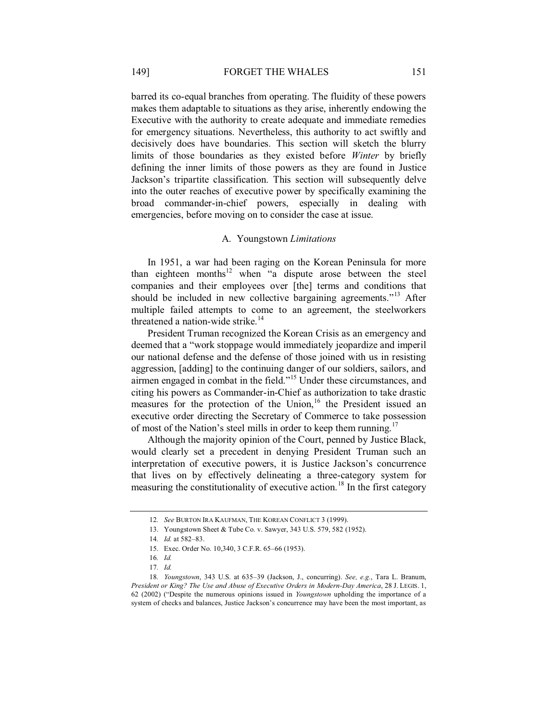barred its co-equal branches from operating. The fluidity of these powers makes them adaptable to situations as they arise, inherently endowing the Executive with the authority to create adequate and immediate remedies for emergency situations. Nevertheless, this authority to act swiftly and decisively does have boundaries. This section will sketch the blurry limits of those boundaries as they existed before *Winter* by briefly defining the inner limits of those powers as they are found in Justice Jackson's tripartite classification. This section will subsequently delve into the outer reaches of executive power by specifically examining the broad commander-in-chief powers, especially in dealing with emergencies, before moving on to consider the case at issue.

#### A. Youngstown *Limitations*

In 1951, a war had been raging on the Korean Peninsula for more than eighteen months<sup>12</sup> when "a dispute arose between the steel companies and their employees over [the] terms and conditions that should be included in new collective bargaining agreements."<sup>13</sup> After multiple failed attempts to come to an agreement, the steelworkers threatened a nation-wide strike.<sup>14</sup>

President Truman recognized the Korean Crisis as an emergency and deemed that a "work stoppage would immediately jeopardize and imperil our national defense and the defense of those joined with us in resisting aggression, [adding] to the continuing danger of our soldiers, sailors, and airmen engaged in combat in the field."15 Under these circumstances, and citing his powers as Commander-in-Chief as authorization to take drastic measures for the protection of the Union, $16$  the President issued an executive order directing the Secretary of Commerce to take possession of most of the Nation's steel mills in order to keep them running.<sup>17</sup>

Although the majority opinion of the Court, penned by Justice Black, would clearly set a precedent in denying President Truman such an interpretation of executive powers, it is Justice Jackson's concurrence that lives on by effectively delineating a three-category system for measuring the constitutionality of executive action.<sup>18</sup> In the first category

<sup>12</sup>*. See* BURTON IRA KAUFMAN, THE KOREAN CONFLICT 3 (1999).

<sup>13.</sup> Youngstown Sheet & Tube Co. v. Sawyer, 343 U.S. 579, 582 (1952).

<sup>14</sup>*. Id.* at 582–83.

<sup>15.</sup> Exec. Order No. 10,340, 3 C.F.R. 65–66 (1953).

<sup>16</sup>*. Id.*

<sup>17</sup>*. Id.*

<sup>18</sup>*. Youngstown*, 343 U.S. at 635–39 (Jackson, J., concurring). *See, e.g.*, Tara L. Branum, *President or King? The Use and Abuse of Executive Orders in Modern-Day America*, 28 J. LEGIS. 1, 62 (2002) ("Despite the numerous opinions issued in *Youngstown* upholding the importance of a system of checks and balances, Justice Jackson's concurrence may have been the most important, as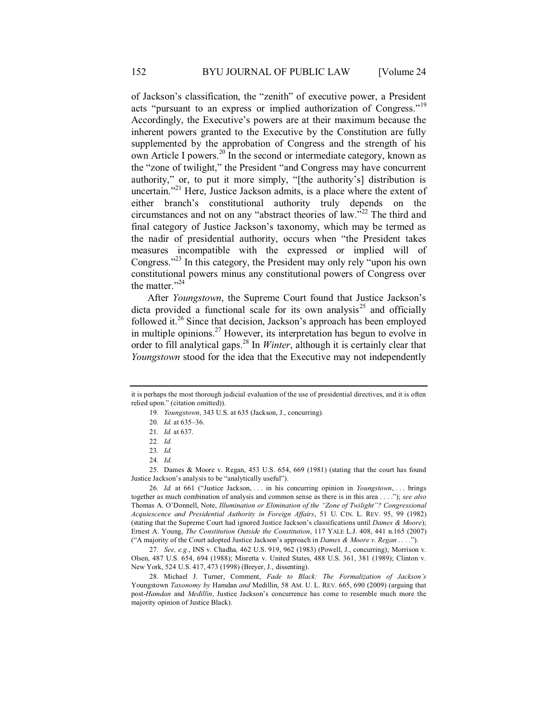of Jackson's classification, the "zenith" of executive power, a President acts "pursuant to an express or implied authorization of Congress."<sup>19</sup> Accordingly, the Executive's powers are at their maximum because the inherent powers granted to the Executive by the Constitution are fully supplemented by the approbation of Congress and the strength of his own Article I powers.<sup>20</sup> In the second or intermediate category, known as the "zone of twilight," the President "and Congress may have concurrent authority," or, to put it more simply, "[the authority's] distribution is uncertain."<sup>21</sup> Here, Justice Jackson admits, is a place where the extent of either branch's constitutional authority truly depends on the circumstances and not on any "abstract theories of law."<sup>22</sup> The third and final category of Justice Jackson's taxonomy, which may be termed as the nadir of presidential authority, occurs when "the President takes measures incompatible with the expressed or implied will of Congress."<sup>23</sup> In this category, the President may only rely "upon his own constitutional powers minus any constitutional powers of Congress over the matter." $24$ 

After *Youngstown*, the Supreme Court found that Justice Jackson's dicta provided a functional scale for its own analysis<sup>25</sup> and officially followed it.<sup>26</sup> Since that decision, Jackson's approach has been employed in multiple opinions.<sup>27</sup> However, its interpretation has begun to evolve in order to fill analytical gaps.28 In *Winter*, although it is certainly clear that *Youngstown* stood for the idea that the Executive may not independently

25. Dames & Moore v. Regan, 453 U.S. 654, 669 (1981) (stating that the court has found Justice Jackson's analysis to be "analytically useful").

26*. Id.* at 661 ("Justice Jackson, . . . in his concurring opinion in *Youngstown*, . . . brings together as much combination of analysis and common sense as there is in this area . . . ."); *see also* Thomas A. O'Donnell, Note, *Illumination or Elimination of the "Zone of Twilight"? Congressional Acquiescence and Presidential Authority in Foreign Affairs*, 51 U. CIN. L. REV. 95, 99 (1982) (stating that the Supreme Court had ignored Justice Jackson's classifications until *Dames & Moore*); Ernest A. Young, *The Constitution Outside the Constitution*, 117 YALE L.J. 408, 441 n.165 (2007) ("A majority of the Court adopted Justice Jackson's approach in *Dames & Moore v. Regan . . . .*").

27*. See, e.g.*, INS v. Chadha*,* 462 U.S. 919, 962 (1983) (Powell, J., concurring); Morrison v. Olsen, 487 U.S. 654, 694 (1988); Misretta v. United States, 488 U.S. 361, 381 (1989); Clinton v. New York, 524 U.S. 417, 473 (1998) (Breyer, J., dissenting).

28. Michael J. Turner, Comment, *Fade to Black: The Formalization of Jackson's*  Youngstown *Taxonomy by* Hamdan *and* Medillin, 58 AM. U. L. REV. 665, 690 (2009) (arguing that post-*Hamdan* and *Medillin*, Justice Jackson's concurrence has come to resemble much more the majority opinion of Justice Black).

it is perhaps the most thorough judicial evaluation of the use of presidential directives, and it is often relied upon." (citation omitted)).

<sup>19</sup>*. Youngstown*, 343 U.S. at 635 (Jackson, J., concurring).

<sup>20</sup>*. Id.* at 635–36.

<sup>21</sup>*. Id.* at 637.

<sup>22</sup>*. Id.*

<sup>23</sup>*. Id.*

<sup>24</sup>*. Id.*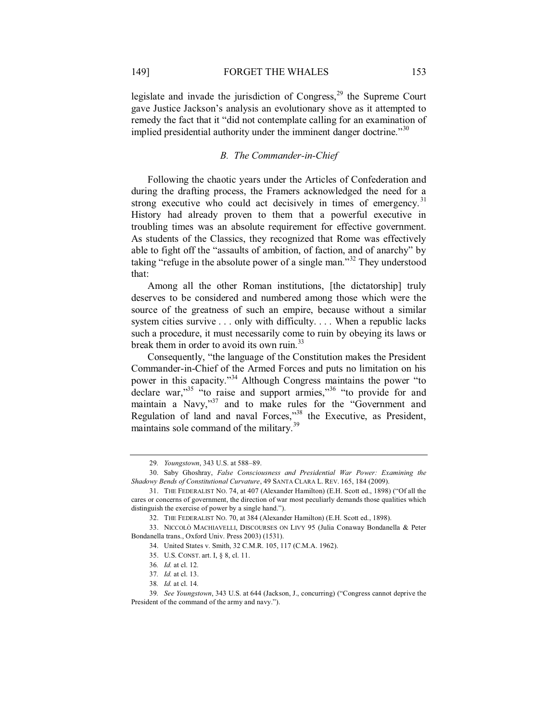legislate and invade the jurisdiction of  $Congress<sub>29</sub>$  the Supreme Court gave Justice Jackson's analysis an evolutionary shove as it attempted to remedy the fact that it "did not contemplate calling for an examination of implied presidential authority under the imminent danger doctrine."<sup>30</sup>

#### *B. The Commander-in-Chief*

Following the chaotic years under the Articles of Confederation and during the drafting process, the Framers acknowledged the need for a strong executive who could act decisively in times of emergency.<sup>31</sup> History had already proven to them that a powerful executive in troubling times was an absolute requirement for effective government. As students of the Classics, they recognized that Rome was effectively able to fight off the "assaults of ambition, of faction, and of anarchy" by taking "refuge in the absolute power of a single man."32 They understood that:

Among all the other Roman institutions, [the dictatorship] truly deserves to be considered and numbered among those which were the source of the greatness of such an empire, because without a similar system cities survive . . . only with difficulty. . . . When a republic lacks such a procedure, it must necessarily come to ruin by obeying its laws or break them in order to avoid its own ruin.<sup>33</sup>

Consequently, "the language of the Constitution makes the President Commander-in-Chief of the Armed Forces and puts no limitation on his power in this capacity."<sup>34</sup> Although Congress maintains the power "to declare war,"<sup>35</sup> "to raise and support armies,"<sup>36</sup> "to provide for and maintain a Navy,"<sup>37</sup> and to make rules for the "Government and Regulation of land and naval Forces,"<sup>38</sup> the Executive, as President, maintains sole command of the military.<sup>39</sup>

<sup>29</sup>*. Youngstown*, 343 U.S. at 588–89.

<sup>30.</sup> Saby Ghoshray, *False Consciousness and Presidential War Power: Examining the Shadowy Bends of Constitutional Curvature*, 49 SANTA CLARA L. REV. 165, 184 (2009).

<sup>31.</sup> THE FEDERALIST NO. 74, at 407 (Alexander Hamilton) (E.H. Scott ed., 1898) ("Of all the cares or concerns of government, the direction of war most peculiarly demands those qualities which distinguish the exercise of power by a single hand.").

<sup>32.</sup> THE FEDERALIST NO. 70, at 384 (Alexander Hamilton) (E.H. Scott ed., 1898).

<sup>33.</sup> NICCOLÒ MACHIAVELLI, DISCOURSES ON LIVY 95 (Julia Conaway Bondanella & Peter Bondanella trans., Oxford Univ. Press 2003) (1531).

<sup>34.</sup> United States v. Smith, 32 C.M.R. 105, 117 (C.M.A. 1962).

<sup>35.</sup> U.S. CONST. art. I, § 8, cl. 11.

<sup>36</sup>*. Id.* at cl. 12*.* 

<sup>37</sup>*. Id.* at cl. 13.

<sup>38</sup>*. Id.* at cl. 14*.* 

<sup>39</sup>*. See Youngstown*, 343 U.S. at 644 (Jackson, J., concurring) ("Congress cannot deprive the President of the command of the army and navy.").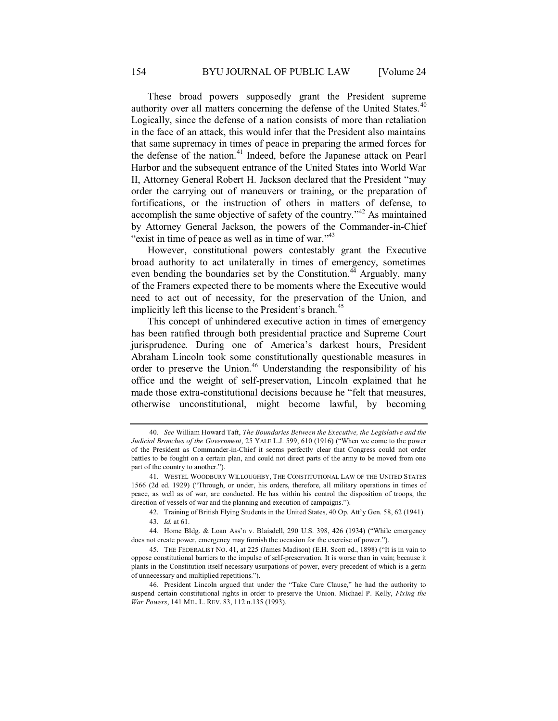These broad powers supposedly grant the President supreme authority over all matters concerning the defense of the United States.<sup>40</sup> Logically, since the defense of a nation consists of more than retaliation in the face of an attack, this would infer that the President also maintains that same supremacy in times of peace in preparing the armed forces for the defense of the nation.<sup>41</sup> Indeed, before the Japanese attack on Pearl Harbor and the subsequent entrance of the United States into World War II, Attorney General Robert H. Jackson declared that the President "may order the carrying out of maneuvers or training, or the preparation of fortifications, or the instruction of others in matters of defense, to accomplish the same objective of safety of the country.<sup> $142$ </sup> As maintained by Attorney General Jackson, the powers of the Commander-in-Chief "exist in time of peace as well as in time of war."<sup>43</sup>

However, constitutional powers contestably grant the Executive broad authority to act unilaterally in times of emergency, sometimes even bending the boundaries set by the Constitution.<sup>44</sup> Arguably, many of the Framers expected there to be moments where the Executive would need to act out of necessity, for the preservation of the Union, and implicitly left this license to the President's branch.<sup>45</sup>

This concept of unhindered executive action in times of emergency has been ratified through both presidential practice and Supreme Court jurisprudence. During one of America's darkest hours, President Abraham Lincoln took some constitutionally questionable measures in order to preserve the Union.<sup>46</sup> Understanding the responsibility of his office and the weight of self-preservation, Lincoln explained that he made those extra-constitutional decisions because he "felt that measures, otherwise unconstitutional, might become lawful, by becoming

<sup>40</sup>*. See* William Howard Taft, *The Boundaries Between the Executive, the Legislative and the Judicial Branches of the Government*, 25 YALE L.J. 599, 610 (1916) ("When we come to the power of the President as Commander-in-Chief it seems perfectly clear that Congress could not order battles to be fought on a certain plan, and could not direct parts of the army to be moved from one part of the country to another.").

<sup>41.</sup> WESTEL WOODBURY WILLOUGHBY, THE CONSTITUTIONAL LAW OF THE UNITED STATES 1566 (2d ed. 1929) ("Through, or under, his orders, therefore, all military operations in times of peace, as well as of war, are conducted. He has within his control the disposition of troops, the direction of vessels of war and the planning and execution of campaigns.").

<sup>42.</sup> Training of British Flying Students in the United States, 40 Op. Att'y Gen. 58, 62 (1941). 43*. Id.* at 61.

<sup>44.</sup> Home Bldg. & Loan Ass'n v. Blaisdell, 290 U.S. 398, 426 (1934) ("While emergency does not create power, emergency may furnish the occasion for the exercise of power.").

<sup>45.</sup> THE FEDERALIST NO. 41, at 225 (James Madison) (E.H. Scott ed., 1898) ("It is in vain to oppose constitutional barriers to the impulse of self-preservation. It is worse than in vain; because it plants in the Constitution itself necessary usurpations of power, every precedent of which is a germ of unnecessary and multiplied repetitions.").

<sup>46.</sup> President Lincoln argued that under the "Take Care Clause," he had the authority to suspend certain constitutional rights in order to preserve the Union. Michael P. Kelly, *Fixing the War Powers*, 141 MIL. L. REV. 83, 112 n.135 (1993).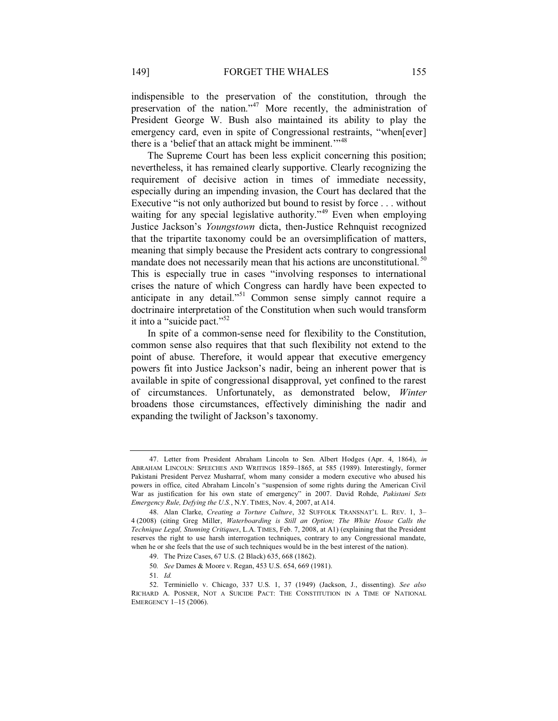indispensible to the preservation of the constitution, through the preservation of the nation."<sup>47</sup> More recently, the administration of President George W. Bush also maintained its ability to play the emergency card, even in spite of Congressional restraints, "when[ever] there is a 'belief that an attack might be imminent.'"<sup>48</sup>

The Supreme Court has been less explicit concerning this position; nevertheless, it has remained clearly supportive. Clearly recognizing the requirement of decisive action in times of immediate necessity, especially during an impending invasion, the Court has declared that the Executive "is not only authorized but bound to resist by force . . . without waiting for any special legislative authority."<sup>49</sup> Even when employing Justice Jackson's *Youngstown* dicta, then-Justice Rehnquist recognized that the tripartite taxonomy could be an oversimplification of matters, meaning that simply because the President acts contrary to congressional mandate does not necessarily mean that his actions are unconstitutional.<sup>50</sup> This is especially true in cases "involving responses to international crises the nature of which Congress can hardly have been expected to anticipate in any detail."51 Common sense simply cannot require a doctrinaire interpretation of the Constitution when such would transform it into a "suicide pact."<sup>52</sup>

In spite of a common-sense need for flexibility to the Constitution, common sense also requires that that such flexibility not extend to the point of abuse. Therefore, it would appear that executive emergency powers fit into Justice Jackson's nadir, being an inherent power that is available in spite of congressional disapproval, yet confined to the rarest of circumstances. Unfortunately, as demonstrated below, *Winter* broadens those circumstances, effectively diminishing the nadir and expanding the twilight of Jackson's taxonomy.

<sup>47.</sup> Letter from President Abraham Lincoln to Sen. Albert Hodges (Apr. 4, 1864), *in*  ABRAHAM LINCOLN: SPEECHES AND WRITINGS 1859–1865, at 585 (1989). Interestingly, former Pakistani President Pervez Musharraf, whom many consider a modern executive who abused his powers in office, cited Abraham Lincoln's "suspension of some rights during the American Civil War as justification for his own state of emergency" in 2007. David Rohde, *Pakistani Sets Emergency Rule, Defying the U.S.*, N.Y. TIMES, Nov. 4, 2007, at A14.

<sup>48.</sup> Alan Clarke, *Creating a Torture Culture*, 32 SUFFOLK TRANSNAT'L L. REV. 1, 3– 4 (2008) (citing Greg Miller, *Waterboarding is Still an Option; The White House Calls the Technique Legal, Stunning Critiques*, L.A. TIMES, Feb. 7, 2008, at A1) (explaining that the President reserves the right to use harsh interrogation techniques, contrary to any Congressional mandate, when he or she feels that the use of such techniques would be in the best interest of the nation).

<sup>49.</sup> The Prize Cases, 67 U.S. (2 Black) 635, 668 (1862).

<sup>50</sup>*. See* Dames & Moore v. Regan, 453 U.S. 654, 669 (1981).

<sup>51</sup>*. Id.*

<sup>52.</sup> Terminiello v. Chicago, 337 U.S. 1, 37 (1949) (Jackson, J., dissenting). *See also* RICHARD A. POSNER, NOT A SUICIDE PACT: THE CONSTITUTION IN A TIME OF NATIONAL EMERGENCY 1–15 (2006).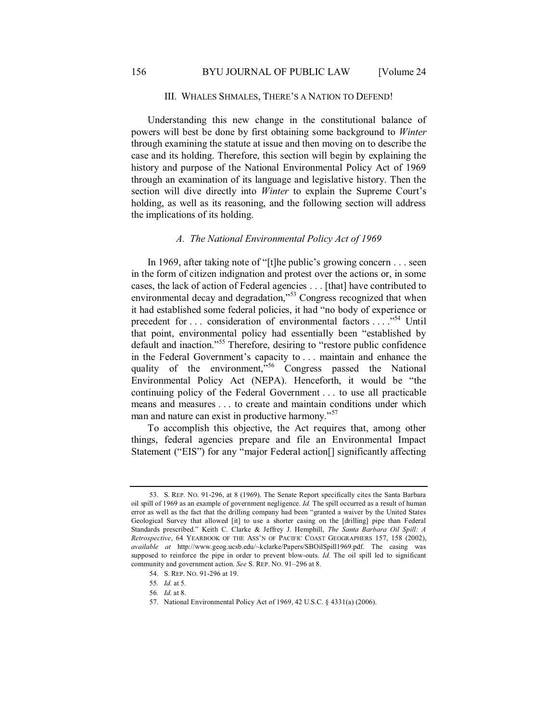#### III. WHALES SHMALES, THERE'S A NATION TO DEFEND!

Understanding this new change in the constitutional balance of powers will best be done by first obtaining some background to *Winter* through examining the statute at issue and then moving on to describe the case and its holding. Therefore, this section will begin by explaining the history and purpose of the National Environmental Policy Act of 1969 through an examination of its language and legislative history. Then the section will dive directly into *Winter* to explain the Supreme Court's holding, as well as its reasoning, and the following section will address the implications of its holding.

#### *A. The National Environmental Policy Act of 1969*

In 1969, after taking note of "[t]he public's growing concern . . . seen in the form of citizen indignation and protest over the actions or, in some cases, the lack of action of Federal agencies . . . [that] have contributed to environmental decay and degradation,"<sup>53</sup> Congress recognized that when it had established some federal policies, it had "no body of experience or precedent for . . . consideration of environmental factors . . . ."54 Until that point, environmental policy had essentially been "established by default and inaction."<sup>55</sup> Therefore, desiring to "restore public confidence in the Federal Government's capacity to . . . maintain and enhance the quality of the environment,  $\frac{1}{2}$  Congress passed the National Environmental Policy Act (NEPA). Henceforth, it would be "the continuing policy of the Federal Government . . . to use all practicable means and measures . . . to create and maintain conditions under which man and nature can exist in productive harmony."<sup>57</sup>

To accomplish this objective, the Act requires that, among other things, federal agencies prepare and file an Environmental Impact Statement ("EIS") for any "major Federal action[] significantly affecting

57. National Environmental Policy Act of 1969, 42 U.S.C. § 4331(a) (2006).

<sup>53.</sup> S. REP. NO. 91-296, at 8 (1969). The Senate Report specifically cites the Santa Barbara oil spill of 1969 as an example of government negligence. *Id.* The spill occurred as a result of human error as well as the fact that the drilling company had been "granted a waiver by the United States Geological Survey that allowed [it] to use a shorter casing on the [drilling] pipe than Federal Standards prescribed." Keith C. Clarke & Jeffrey J. Hemphill, *The Santa Barbara Oil Spill: A Retrospective*, 64 YEARBOOK OF THE ASS'N OF PACIFIC COAST GEOGRAPHERS 157, 158 (2002), *available at* http://www.geog.ucsb.edu/~kclarke/Papers/SBOilSpill1969.pdf. The casing was supposed to reinforce the pipe in order to prevent blow-outs. *Id.* The oil spill led to significant community and government action. *See* S. REP. NO. 91–296 at 8.

<sup>54.</sup> S. REP. NO. 91-296 at 19.

<sup>55</sup>*. Id.* at 5.

<sup>56</sup>*. Id.* at 8.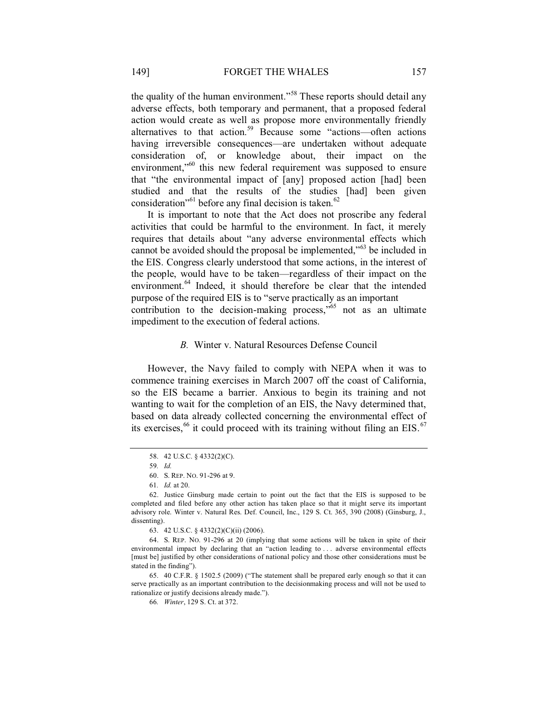the quality of the human environment."<sup>58</sup> These reports should detail any adverse effects, both temporary and permanent, that a proposed federal action would create as well as propose more environmentally friendly alternatives to that action.<sup>59</sup> Because some "actions—often actions having irreversible consequences—are undertaken without adequate consideration of, or knowledge about, their impact on the environment,<sup>"60</sup> this new federal requirement was supposed to ensure that "the environmental impact of [any] proposed action [had] been studied and that the results of the studies [had] been given consideration"<sup>61</sup> before any final decision is taken.<sup>62</sup>

It is important to note that the Act does not proscribe any federal activities that could be harmful to the environment. In fact, it merely requires that details about "any adverse environmental effects which cannot be avoided should the proposal be implemented,"63 be included in the EIS. Congress clearly understood that some actions, in the interest of the people, would have to be taken—regardless of their impact on the environment.<sup>64</sup> Indeed, it should therefore be clear that the intended purpose of the required EIS is to "serve practically as an important

contribution to the decision-making process," $65$  not as an ultimate impediment to the execution of federal actions.

## *B.* Winter v. Natural Resources Defense Council

However, the Navy failed to comply with NEPA when it was to commence training exercises in March 2007 off the coast of California, so the EIS became a barrier. Anxious to begin its training and not wanting to wait for the completion of an EIS, the Navy determined that, based on data already collected concerning the environmental effect of its exercises,  $66$  it could proceed with its training without filing an EIS.  $67$ 

<sup>58. 42</sup> U.S.C. § 4332(2)(C).

<sup>59</sup>*. Id.*

<sup>60.</sup> S. REP. NO. 91-296 at 9.

<sup>61</sup>*. Id.* at 20.

<sup>62.</sup> Justice Ginsburg made certain to point out the fact that the EIS is supposed to be completed and filed before any other action has taken place so that it might serve its important advisory role. Winter v. Natural Res. Def. Council, Inc., 129 S. Ct. 365, 390 (2008) (Ginsburg, J., dissenting).

<sup>63. 42</sup> U.S.C. § 4332(2)(C)(ii) (2006).

<sup>64.</sup> S. REP. NO. 91-296 at 20 (implying that some actions will be taken in spite of their environmental impact by declaring that an "action leading to . . . adverse environmental effects [must be] justified by other considerations of national policy and those other considerations must be stated in the finding").

<sup>65. 40</sup> C.F.R. § 1502.5 (2009) ("The statement shall be prepared early enough so that it can serve practically as an important contribution to the decisionmaking process and will not be used to rationalize or justify decisions already made.").

<sup>66</sup>*. Winter*, 129 S. Ct. at 372.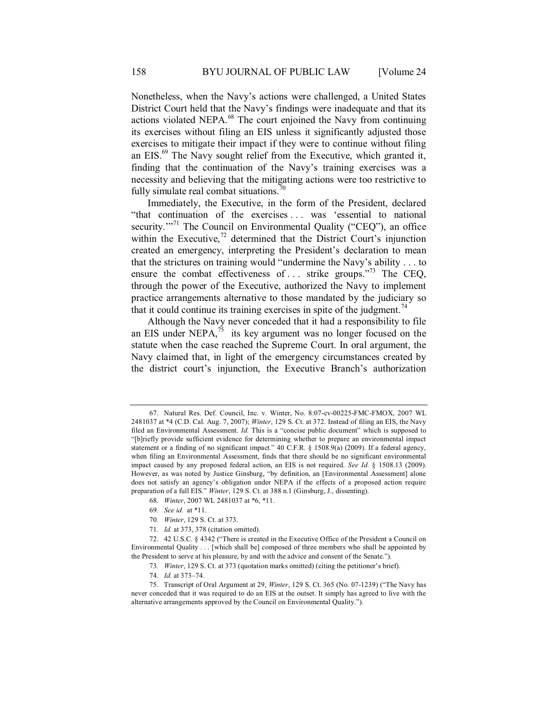Nonetheless, when the Navy's actions were challenged, a United States District Court held that the Navy's findings were inadequate and that its actions violated NEPA.68 The court enjoined the Navy from continuing its exercises without filing an EIS unless it significantly adjusted those exercises to mitigate their impact if they were to continue without filing an EIS.69 The Navy sought relief from the Executive, which granted it, finding that the continuation of the Navy's training exercises was a necessity and believing that the mitigating actions were too restrictive to fully simulate real combat situations.<sup>70</sup>

Immediately, the Executive, in the form of the President, declared "that continuation of the exercises . . . was 'essential to national security."<sup>71</sup> The Council on Environmental Quality ("CEQ"), an office within the Executive, $^{72}$  determined that the District Court's injunction created an emergency, interpreting the President's declaration to mean that the strictures on training would "undermine the Navy's ability . . . to ensure the combat effectiveness of ... strike groups."<sup>73</sup> The CEQ, through the power of the Executive, authorized the Navy to implement practice arrangements alternative to those mandated by the judiciary so that it could continue its training exercises in spite of the judgment.<sup>74</sup>

Although the Navy never conceded that it had a responsibility to file an EIS under NEPA, $^{75}$  its key argument was no longer focused on the statute when the case reached the Supreme Court. In oral argument, the Navy claimed that, in light of the emergency circumstances created by the district court's injunction, the Executive Branch's authorization

69*. See id.* at \*11.

71*. Id.* at 373, 378 (citation omitted).

<sup>67.</sup> Natural Res. Def. Council, Inc. v. Winter, No. 8:07-cv-00225-FMC-FMOX, 2007 WL 2481037 at \*4 (C.D. Cal. Aug. 7, 2007); *Winter*, 129 S. Ct. at 372. Instead of filing an EIS, the Navy filed an Environmental Assessment. *Id.* This is a "concise public document" which is supposed to "[b]riefly provide sufficient evidence for determining whether to prepare an environmental impact statement or a finding of no significant impact." 40 C.F.R. § 1508.9(a) (2009). If a federal agency, when filing an Environmental Assessment, finds that there should be no significant environmental impact caused by any proposed federal action, an EIS is not required. *See Id.* § 1508.13 (2009). However, as was noted by Justice Ginsburg, "by definition, an [Environmental Assessment] alone does not satisfy an agency's obligation under NEPA if the effects of a proposed action require preparation of a full EIS." *Winter*, 129 S. Ct. at 388 n.1 (Ginsburg, J., dissenting).

<sup>68</sup>*. Winter*, 2007 WL 2481037 at \*6, \*11.

<sup>70</sup>*. Winter*, 129 S. Ct. at 373.

<sup>72.</sup> 42 U.S.C. § 4342 ("There is created in the Executive Office of the President a Council on Environmental Quality . . . [which shall be] composed of three members who shall be appointed by the President to serve at his pleasure, by and with the advice and consent of the Senate.").

<sup>73</sup>*. Winter*, 129 S. Ct. at 373 (quotation marks omitted) (citing the petitioner's brief).

<sup>74</sup>*. Id.* at 373–74.

<sup>75.</sup> Transcript of Oral Argument at 29, *Winter*, 129 S. Ct. 365 (No. 07-1239) ("The Navy has never conceded that it was required to do an EIS at the outset. It simply has agreed to live with the alternative arrangements approved by the Council on Environmental Quality.").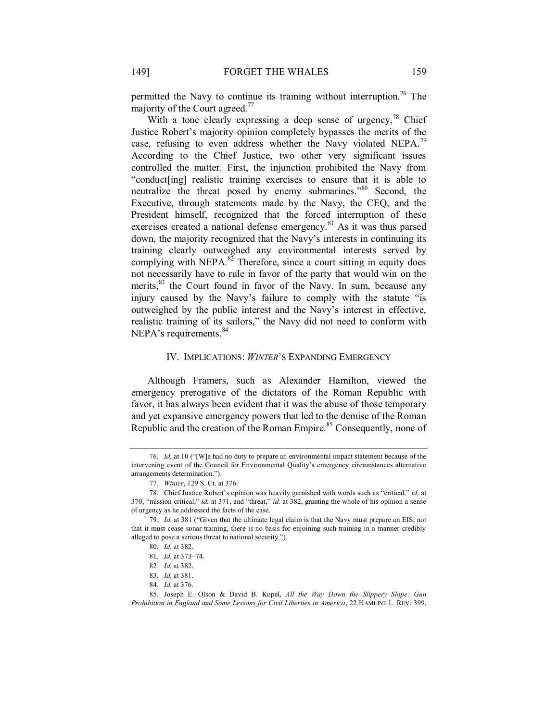permitted the Navy to continue its training without interruption.<sup>76</sup> The majority of the Court agreed.<sup>77</sup>

With a tone clearly expressing a deep sense of urgency,  $^{78}$  Chief Justice Robert's majority opinion completely bypasses the merits of the case, refusing to even address whether the Navy violated NEPA.<sup>79</sup> According to the Chief Justice, two other very significant issues controlled the matter. First, the injunction prohibited the Navy from "conduct[ing] realistic training exercises to ensure that it is able to neutralize the threat posed by enemy submarines."<sup>80</sup> Second, the Executive, through statements made by the Navy, the CEQ, and the President himself, recognized that the forced interruption of these exercises created a national defense emergency.<sup>81</sup> As it was thus parsed down, the majority recognized that the Navy's interests in continuing its training clearly outweighed any environmental interests served by complying with NEPA. $^{82}$  Therefore, since a court sitting in equity does not necessarily have to rule in favor of the party that would win on the merits,<sup>83</sup> the Court found in favor of the Navy. In sum, because any injury caused by the Navy's failure to comply with the statute "is outweighed by the public interest and the Navy's interest in effective, realistic training of its sailors," the Navy did not need to conform with NEPA's requirements.<sup>84</sup>

#### IV. IMPLICATIONS: *WINTER*'S EXPANDING EMERGENCY

Although Framers, such as Alexander Hamilton, viewed the emergency prerogative of the dictators of the Roman Republic with favor, it has always been evident that it was the abuse of those temporary and yet expansive emergency powers that led to the demise of the Roman Republic and the creation of the Roman Empire.<sup>85</sup> Consequently, none of

<sup>76</sup>*. Id.* at 10 ("[W]e had no duty to prepare an environmental impact statement because of the intervening event of the Council for Environmental Quality's emergency circumstances alternative arrangements determination.").

<sup>77</sup>*. Winter*, 129 S. Ct. at 376.

<sup>78.</sup> Chief Justice Robert's opinion was heavily garnished with words such as "critical," *id*. at 370, "mission critical," *id.* at 371, and "threat," *id.* at 382, granting the whole of his opinion a sense of urgency as he addressed the facts of the case.

<sup>79</sup>*. Id.* at 381 ("Given that the ultimate legal claim is that the Navy must prepare an EIS, not that it must cease sonar training, there is no basis for enjoining such training in a manner credibly alleged to pose a serious threat to national security.").

<sup>80</sup>*. Id.* at 382.

<sup>81</sup>*. Id.* at 373–74.

<sup>82</sup>*. Id.* at 382.

<sup>83</sup>*. Id.* at 381.

<sup>84</sup>*. Id.* at 376.

<sup>85.</sup> Joseph E. Olson & David B. Kopel, *All the Way Down the Slippery Slope: Gun Prohibition in England and Some Lessons for Civil Liberties in America*, 22 HAMLINE L. REV. 399,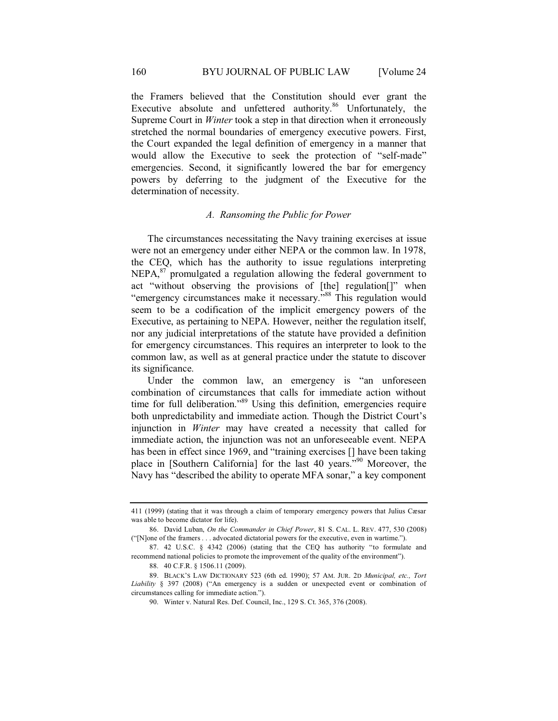the Framers believed that the Constitution should ever grant the Executive absolute and unfettered authority.<sup>86</sup> Unfortunately, the Supreme Court in *Winter* took a step in that direction when it erroneously stretched the normal boundaries of emergency executive powers. First, the Court expanded the legal definition of emergency in a manner that would allow the Executive to seek the protection of "self-made" emergencies. Second, it significantly lowered the bar for emergency powers by deferring to the judgment of the Executive for the determination of necessity.

## *A. Ransoming the Public for Power*

The circumstances necessitating the Navy training exercises at issue were not an emergency under either NEPA or the common law. In 1978, the CEQ, which has the authority to issue regulations interpreting NEPA,<sup>87</sup> promulgated a regulation allowing the federal government to act "without observing the provisions of [the] regulation[]" when "emergency circumstances make it necessary."<sup>88</sup> This regulation would seem to be a codification of the implicit emergency powers of the Executive, as pertaining to NEPA. However, neither the regulation itself, nor any judicial interpretations of the statute have provided a definition for emergency circumstances. This requires an interpreter to look to the common law, as well as at general practice under the statute to discover its significance.

Under the common law, an emergency is "an unforeseen combination of circumstances that calls for immediate action without time for full deliberation."<sup>89</sup> Using this definition, emergencies require both unpredictability and immediate action. Though the District Court's injunction in *Winter* may have created a necessity that called for immediate action, the injunction was not an unforeseeable event. NEPA has been in effect since 1969, and "training exercises [] have been taking place in [Southern California] for the last 40 years."<sup>90</sup> Moreover, the Navy has "described the ability to operate MFA sonar," a key component

<sup>411 (1999) (</sup>stating that it was through a claim of temporary emergency powers that Julius Cæsar was able to become dictator for life).

<sup>86.</sup> David Luban, *On the Commander in Chief Power*, 81 S. CAL. L. REV. 477, 530 (2008) ("[N]one of the framers . . . advocated dictatorial powers for the executive, even in wartime.").

<sup>87.</sup> 42 U.S.C. § 4342 (2006) (stating that the CEQ has authority "to formulate and recommend national policies to promote the improvement of the quality of the environment").

<sup>88. 40</sup> C.F.R. § 1506.11 (2009).

<sup>89.</sup> BLACK'S LAW DICTIONARY 523 (6th ed. 1990); 57 AM. JUR. 2D *Municipal, etc., Tort Liability* § 397 (2008) ("An emergency is a sudden or unexpected event or combination of circumstances calling for immediate action.").

<sup>90.</sup> Winter v. Natural Res. Def. Council, Inc., 129 S. Ct. 365, 376 (2008).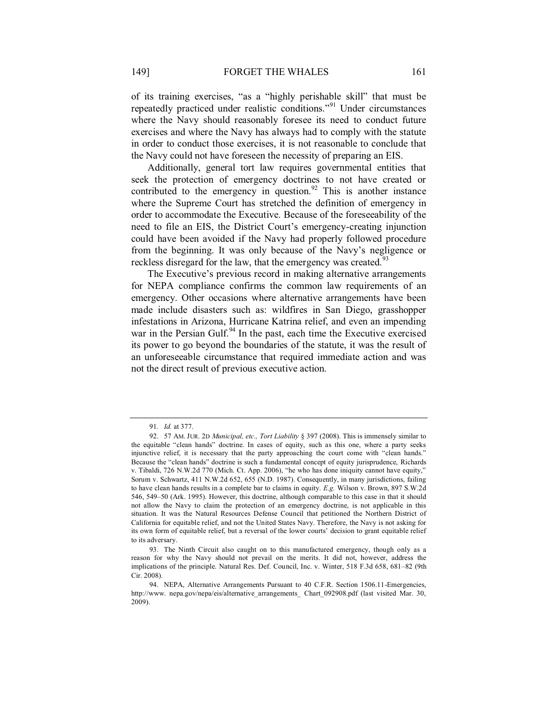of its training exercises, "as a "highly perishable skill" that must be repeatedly practiced under realistic conditions."91 Under circumstances where the Navy should reasonably foresee its need to conduct future exercises and where the Navy has always had to comply with the statute in order to conduct those exercises, it is not reasonable to conclude that the Navy could not have foreseen the necessity of preparing an EIS.

Additionally, general tort law requires governmental entities that seek the protection of emergency doctrines to not have created or contributed to the emergency in question. $92$  This is another instance where the Supreme Court has stretched the definition of emergency in order to accommodate the Executive. Because of the foreseeability of the need to file an EIS, the District Court's emergency-creating injunction could have been avoided if the Navy had properly followed procedure from the beginning. It was only because of the Navy's negligence or reckless disregard for the law, that the emergency was created.<sup>93</sup>

The Executive's previous record in making alternative arrangements for NEPA compliance confirms the common law requirements of an emergency. Other occasions where alternative arrangements have been made include disasters such as: wildfires in San Diego, grasshopper infestations in Arizona, Hurricane Katrina relief, and even an impending war in the Persian Gulf. $94$  In the past, each time the Executive exercised its power to go beyond the boundaries of the statute, it was the result of an unforeseeable circumstance that required immediate action and was not the direct result of previous executive action.

<sup>91</sup>*. Id.* at 377.

<sup>92. 57</sup> AM. JUR. 2D *Municipal, etc., Tort Liability* § 397 (2008). This is immensely similar to the equitable "clean hands" doctrine. In cases of equity, such as this one, where a party seeks injunctive relief, it is necessary that the party approaching the court come with "clean hands." Because the "clean hands" doctrine is such a fundamental concept of equity jurisprudence, Richards v. Tibaldi, 726 N.W.2d 770 (Mich. Ct. App. 2006), "he who has done iniquity cannot have equity," Sorum v. Schwartz, 411 N.W.2d 652, 655 (N.D. 1987). Consequently, in many jurisdictions, failing to have clean hands results in a complete bar to claims in equity. *E.g.* Wilson v. Brown, 897 S.W.2d 546, 549–50 (Ark. 1995). However, this doctrine, although comparable to this case in that it should not allow the Navy to claim the protection of an emergency doctrine, is not applicable in this situation. It was the Natural Resources Defense Council that petitioned the Northern District of California for equitable relief, and not the United States Navy. Therefore, the Navy is not asking for its own form of equitable relief, but a reversal of the lower courts' decision to grant equitable relief to its adversary.

<sup>93.</sup> The Ninth Circuit also caught on to this manufactured emergency, though only as a reason for why the Navy should not prevail on the merits. It did not, however, address the implications of the principle. Natural Res. Def. Council, Inc. v. Winter, 518 F.3d 658, 681–82 (9th Cir. 2008).

<sup>94.</sup> NEPA, Alternative Arrangements Pursuant to 40 C.F.R. Section 1506.11-Emergencies, http://www. nepa.gov/nepa/eis/alternative\_arrangements\_ Chart\_092908.pdf (last visited Mar. 30, 2009).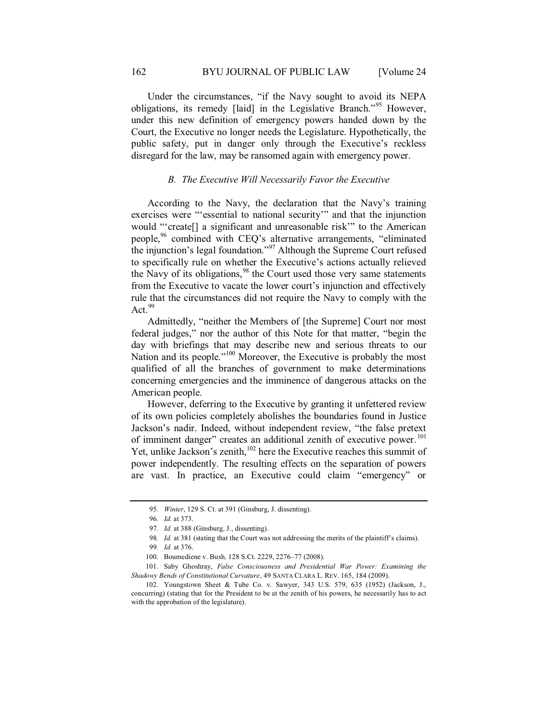Under the circumstances, "if the Navy sought to avoid its NEPA obligations, its remedy [laid] in the Legislative Branch."95 However, under this new definition of emergency powers handed down by the Court, the Executive no longer needs the Legislature. Hypothetically, the public safety, put in danger only through the Executive's reckless disregard for the law, may be ransomed again with emergency power.

#### *B. The Executive Will Necessarily Favor the Executive*

According to the Navy, the declaration that the Navy's training exercises were "'essential to national security'" and that the injunction would "'create[] a significant and unreasonable risk'" to the American people,<sup>96</sup> combined with CEQ's alternative arrangements, "eliminated the injunction's legal foundation."97 Although the Supreme Court refused to specifically rule on whether the Executive's actions actually relieved the Navy of its obligations,<sup>98</sup> the Court used those very same statements from the Executive to vacate the lower court's injunction and effectively rule that the circumstances did not require the Navy to comply with the Act. $99$ 

Admittedly, "neither the Members of [the Supreme] Court nor most federal judges," nor the author of this Note for that matter, "begin the day with briefings that may describe new and serious threats to our Nation and its people."<sup>100</sup> Moreover, the Executive is probably the most qualified of all the branches of government to make determinations concerning emergencies and the imminence of dangerous attacks on the American people.

However, deferring to the Executive by granting it unfettered review of its own policies completely abolishes the boundaries found in Justice Jackson's nadir. Indeed, without independent review, "the false pretext of imminent danger" creates an additional zenith of executive power.<sup>101</sup> Yet, unlike Jackson's zenith,<sup>102</sup> here the Executive reaches this summit of power independently. The resulting effects on the separation of powers are vast. In practice, an Executive could claim "emergency" or

<sup>95</sup>*. Winter*, 129 S. Ct. at 391 (Ginsburg, J. dissenting).

<sup>96</sup>*. Id.* at 373.

<sup>97</sup>*. Id.* at 388 (Ginsburg, J., dissenting).

<sup>98</sup>*. Id.* at 381 (stating that the Court was not addressing the merits of the plaintiff's claims).

<sup>99</sup>*. Id.* at 376.

<sup>100.</sup> Boumediene v. Bush*,* 128 S.Ct. 2229, 2276–77 (2008).

<sup>101.</sup> Saby Ghoshray, *False Consciousness and Presidential War Power: Examining the Shadowy Bends of Constitutional Curvature*, 49 SANTA CLARA L. REV. 165, 184 (2009).

<sup>102.</sup> Youngstown Sheet & Tube Co. v. Sawyer, 343 U.S. 579, 635 (1952) (Jackson, J., concurring) (stating that for the President to be at the zenith of his powers, he necessarily has to act with the approbation of the legislature).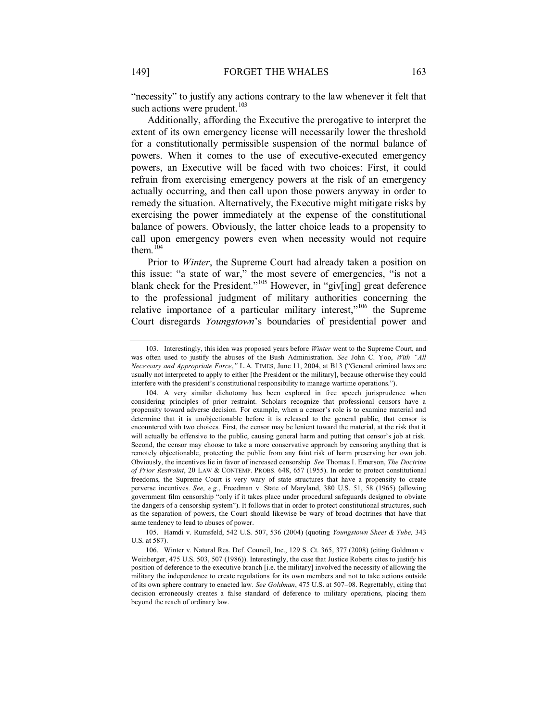"necessity" to justify any actions contrary to the law whenever it felt that such actions were prudent. $103$ 

Additionally, affording the Executive the prerogative to interpret the extent of its own emergency license will necessarily lower the threshold for a constitutionally permissible suspension of the normal balance of powers. When it comes to the use of executive-executed emergency powers, an Executive will be faced with two choices: First, it could refrain from exercising emergency powers at the risk of an emergency actually occurring, and then call upon those powers anyway in order to remedy the situation. Alternatively, the Executive might mitigate risks by exercising the power immediately at the expense of the constitutional balance of powers. Obviously, the latter choice leads to a propensity to call upon emergency powers even when necessity would not require them.<sup>104</sup>

Prior to *Winter*, the Supreme Court had already taken a position on this issue: "a state of war," the most severe of emergencies, "is not a blank check for the President."<sup>105</sup> However, in "giv[ing] great deference to the professional judgment of military authorities concerning the relative importance of a particular military interest,"<sup>106</sup> the Supreme Court disregards *Youngstown*'s boundaries of presidential power and

<sup>103.</sup> Interestingly, this idea was proposed years before *Winter* went to the Supreme Court, and was often used to justify the abuses of the Bush Administration. *See* John C. Yoo, *With "All Necessary and Appropriate Force*,*"* L.A. TIMES, June 11, 2004, at B13 ("General criminal laws are usually not interpreted to apply to either [the President or the military], because otherwise they could interfere with the president's constitutional responsibility to manage wartime operations.").

<sup>104.</sup> A very similar dichotomy has been explored in free speech jurisprudence when considering principles of prior restraint. Scholars recognize that professional censors have a propensity toward adverse decision. For example, when a censor's role is to examine material and determine that it is unobjectionable before it is released to the general public, that censor is encountered with two choices. First, the censor may be lenient toward the material, at the risk that it will actually be offensive to the public, causing general harm and putting that censor's job at risk. Second, the censor may choose to take a more conservative approach by censoring anything that is remotely objectionable, protecting the public from any faint risk of harm preserving her own job. Obviously, the incentives lie in favor of increased censorship. *See* Thomas I. Emerson, *The Doctrine of Prior Restraint*, 20 LAW & CONTEMP. PROBS. 648, 657 (1955). In order to protect constitutional freedoms, the Supreme Court is very wary of state structures that have a propensity to create perverse incentives. *See, e.g.*, Freedman v. State of Maryland, 380 U.S. 51, 58 (1965) (allowing government film censorship "only if it takes place under procedural safeguards designed to obviate the dangers of a censorship system"). It follows that in order to protect constitutional structures, such as the separation of powers, the Court should likewise be wary of broad doctrines that have that same tendency to lead to abuses of power.

<sup>105.</sup> Hamdi v. Rumsfeld, 542 U.S. 507, 536 (2004) (quoting *Youngstown Sheet & Tube,* 343 U.S. at 587).

<sup>106.</sup> Winter v. Natural Res. Def. Council, Inc., 129 S. Ct. 365, 377 (2008) (citing Goldman v. Weinberger, 475 U.S. 503, 507 (1986)). Interestingly, the case that Justice Roberts cites to justify his position of deference to the executive branch [i.e. the military] involved the necessity of allowing the military the independence to create regulations for its own members and not to take actions outside of its own sphere contrary to enacted law. *See Goldman*, 475 U.S. at 507–08. Regrettably, citing that decision erroneously creates a false standard of deference to military operations, placing them beyond the reach of ordinary law.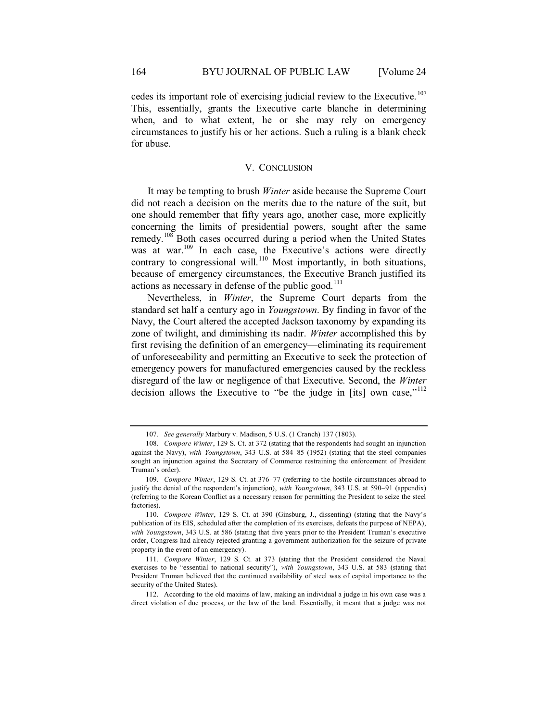cedes its important role of exercising judicial review to the Executive. <sup>107</sup> This, essentially, grants the Executive carte blanche in determining when, and to what extent, he or she may rely on emergency circumstances to justify his or her actions. Such a ruling is a blank check for abuse.

#### V. CONCLUSION

It may be tempting to brush *Winter* aside because the Supreme Court did not reach a decision on the merits due to the nature of the suit, but one should remember that fifty years ago, another case, more explicitly concerning the limits of presidential powers, sought after the same remedy.<sup>108</sup> Both cases occurred during a period when the United States was at war.<sup>109</sup> In each case, the Executive's actions were directly contrary to congressional will.<sup>110</sup> Most importantly, in both situations, because of emergency circumstances, the Executive Branch justified its actions as necessary in defense of the public good. $111$ 

Nevertheless, in *Winter*, the Supreme Court departs from the standard set half a century ago in *Youngstown*. By finding in favor of the Navy, the Court altered the accepted Jackson taxonomy by expanding its zone of twilight, and diminishing its nadir. *Winter* accomplished this by first revising the definition of an emergency—eliminating its requirement of unforeseeability and permitting an Executive to seek the protection of emergency powers for manufactured emergencies caused by the reckless disregard of the law or negligence of that Executive. Second, the *Winter* decision allows the Executive to "be the judge in [its] own case,"<sup>112</sup>

<sup>107</sup>*. See generally* Marbury v. Madison, 5 U.S. (1 Cranch) 137 (1803).

<sup>108</sup>*. Compare Winter*, 129 S. Ct. at 372 (stating that the respondents had sought an injunction against the Navy), *with Youngstown*, 343 U.S. at 584–85 (1952) (stating that the steel companies sought an injunction against the Secretary of Commerce restraining the enforcement of President Truman's order).

<sup>109</sup>*. Compare Winter*, 129 S. Ct. at 376–77 (referring to the hostile circumstances abroad to justify the denial of the respondent's injunction), *with Youngstown*, 343 U.S. at 590–91 (appendix) (referring to the Korean Conflict as a necessary reason for permitting the President to seize the steel factories).

<sup>110</sup>*. Compare Winter*, 129 S. Ct. at 390 (Ginsburg, J., dissenting) (stating that the Navy's publication of its EIS, scheduled after the completion of its exercises, defeats the purpose of NEPA), *with Youngstown*, 343 U.S. at 586 (stating that five years prior to the President Truman's executive order, Congress had already rejected granting a government authorization for the seizure of private property in the event of an emergency).

<sup>111</sup>*. Compare Winter*, 129 S. Ct. at 373 (stating that the President considered the Naval exercises to be "essential to national security"), *with Youngstown*, 343 U.S. at 583 (stating that President Truman believed that the continued availability of steel was of capital importance to the security of the United States).

<sup>112.</sup> According to the old maxims of law, making an individual a judge in his own case was a direct violation of due process, or the law of the land. Essentially, it meant that a judge was not